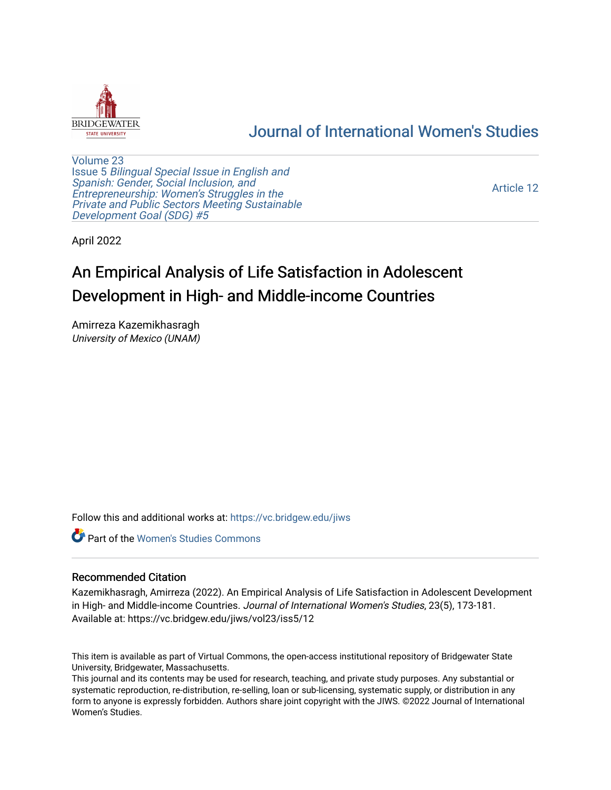

# [Journal of International Women's Studies](https://vc.bridgew.edu/jiws)

[Volume 23](https://vc.bridgew.edu/jiws/vol23) Issue 5 [Bilingual Special Issue in English and](https://vc.bridgew.edu/jiws/vol23/iss5)  [Spanish: Gender, Social Inclusion, and](https://vc.bridgew.edu/jiws/vol23/iss5)  [Entrepreneurship: Women's Struggles in the](https://vc.bridgew.edu/jiws/vol23/iss5)  [Private and Public Sectors Meeting Sustainable](https://vc.bridgew.edu/jiws/vol23/iss5) [Development Goal \(SDG\) #5](https://vc.bridgew.edu/jiws/vol23/iss5) 

[Article 12](https://vc.bridgew.edu/jiws/vol23/iss5/12) 

April 2022

# An Empirical Analysis of Life Satisfaction in Adolescent Development in High- and Middle-income Countries

Amirreza Kazemikhasragh University of Mexico (UNAM)

Follow this and additional works at: [https://vc.bridgew.edu/jiws](https://vc.bridgew.edu/jiws?utm_source=vc.bridgew.edu%2Fjiws%2Fvol23%2Fiss5%2F12&utm_medium=PDF&utm_campaign=PDFCoverPages)

**C** Part of the Women's Studies Commons

#### Recommended Citation

Kazemikhasragh, Amirreza (2022). An Empirical Analysis of Life Satisfaction in Adolescent Development in High- and Middle-income Countries. Journal of International Women's Studies, 23(5), 173-181. Available at: https://vc.bridgew.edu/jiws/vol23/iss5/12

This item is available as part of Virtual Commons, the open-access institutional repository of Bridgewater State University, Bridgewater, Massachusetts.

This journal and its contents may be used for research, teaching, and private study purposes. Any substantial or systematic reproduction, re-distribution, re-selling, loan or sub-licensing, systematic supply, or distribution in any form to anyone is expressly forbidden. Authors share joint copyright with the JIWS. ©2022 Journal of International Women's Studies.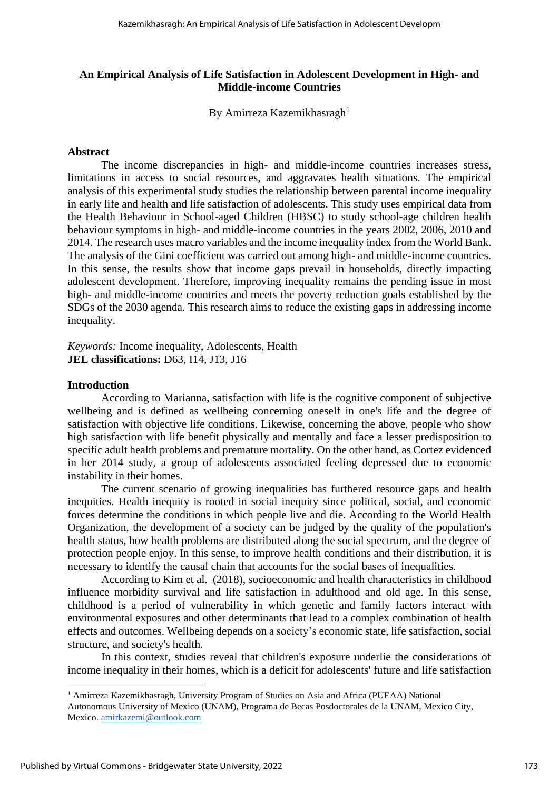#### **An Empirical Analysis of Life Satisfaction in Adolescent Development in High- and Middle-income Countries**

By Amirreza Kazemikhasragh<sup>1</sup>

#### **Abstract**

The income discrepancies in high- and middle-income countries increases stress, limitations in access to social resources, and aggravates health situations. The empirical analysis of this experimental study studies the relationship between parental income inequality in early life and health and life satisfaction of adolescents. This study uses empirical data from the Health Behaviour in School-aged Children (HBSC) to study school-age children health behaviour symptoms in high- and middle-income countries in the years 2002, 2006, 2010 and 2014. The research uses macro variables and the income inequality index from the World Bank. The analysis of the Gini coefficient was carried out among high- and middle-income countries. In this sense, the results show that income gaps prevail in households, directly impacting adolescent development. Therefore, improving inequality remains the pending issue in most high- and middle-income countries and meets the poverty reduction goals established by the SDGs of the 2030 agenda. This research aims to reduce the existing gaps in addressing income inequality.

*Keywords:* Income inequality, Adolescents, Health **JEL classifications:** D63, I14, J13, J16

#### **Introduction**

According to Marianna, satisfaction with life is the cognitive component of subjective wellbeing and is defined as wellbeing concerning oneself in one's life and the degree of satisfaction with objective life conditions. Likewise, concerning the above, people who show high satisfaction with life benefit physically and mentally and face a lesser predisposition to specific adult health problems and premature mortality. On the other hand, as Cortez evidenced in her 2014 study, a group of adolescents associated feeling depressed due to economic instability in their homes.

The current scenario of growing inequalities has furthered resource gaps and health inequities. Health inequity is rooted in social inequity since political, social, and economic forces determine the conditions in which people live and die. According to the World Health Organization, the development of a society can be judged by the quality of the population's health status, how health problems are distributed along the social spectrum, and the degree of protection people enjoy. In this sense, to improve health conditions and their distribution, it is necessary to identify the causal chain that accounts for the social bases of inequalities.

According to Kim et al. (2018), socioeconomic and health characteristics in childhood influence morbidity survival and life satisfaction in adulthood and old age. In this sense, childhood is a period of vulnerability in which genetic and family factors interact with environmental exposures and other determinants that lead to a complex combination of health effects and outcomes. Wellbeing depends on a society's economic state, life satisfaction, social structure, and society's health.

In this context, studies reveal that children's exposure underlie the considerations of income inequality in their homes, which is a deficit for adolescents' future and life satisfaction

<sup>1</sup> Amirreza Kazemikhasragh, University Program of Studies on Asia and Africa (PUEAA) National

Autonomous University of Mexico (UNAM), Programa de Becas Posdoctorales de la UNAM, Mexico City, Mexico. [amirkazemi@outlook.com](mailto:amirkazemi@outlook.com)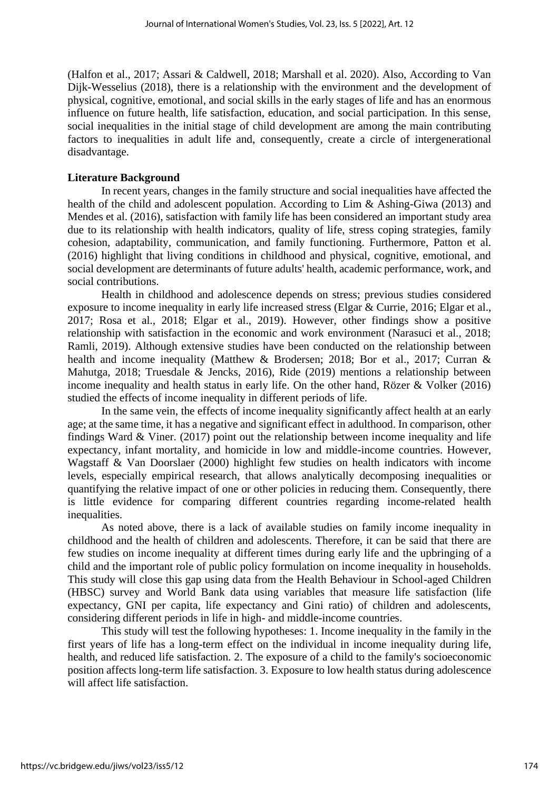(Halfon et al., 2017; Assari & Caldwell, 2018; Marshall et al. 2020). Also, According to Van Dijk-Wesselius (2018), there is a relationship with the environment and the development of physical, cognitive, emotional, and social skills in the early stages of life and has an enormous influence on future health, life satisfaction, education, and social participation. In this sense, social inequalities in the initial stage of child development are among the main contributing factors to inequalities in adult life and, consequently, create a circle of intergenerational disadvantage.

# **Literature Background**

In recent years, changes in the family structure and social inequalities have affected the health of the child and adolescent population. According to Lim & Ashing-Giwa (2013) and Mendes et al. (2016), satisfaction with family life has been considered an important study area due to its relationship with health indicators, quality of life, stress coping strategies, family cohesion, adaptability, communication, and family functioning. Furthermore, Patton et al. (2016) highlight that living conditions in childhood and physical, cognitive, emotional, and social development are determinants of future adults' health, academic performance, work, and social contributions.

Health in childhood and adolescence depends on stress; previous studies considered exposure to income inequality in early life increased stress (Elgar & Currie, 2016; Elgar et al., 2017; Rosa et al., 2018; Elgar et al., 2019). However, other findings show a positive relationship with satisfaction in the economic and work environment (Narasuci et al., 2018; Ramli, 2019). Although extensive studies have been conducted on the relationship between health and income inequality (Matthew & Brodersen; 2018; Bor et al., 2017; Curran & Mahutga, 2018; Truesdale & Jencks, 2016), Ride (2019) mentions a relationship between income inequality and health status in early life. On the other hand, Rözer & Volker (2016) studied the effects of income inequality in different periods of life.

In the same vein, the effects of income inequality significantly affect health at an early age; at the same time, it has a negative and significant effect in adulthood. In comparison, other findings Ward & Viner. (2017) point out the relationship between income inequality and life expectancy, infant mortality, and homicide in low and middle-income countries. However, Wagstaff & Van Doorslaer (2000) highlight few studies on health indicators with income levels, especially empirical research, that allows analytically decomposing inequalities or quantifying the relative impact of one or other policies in reducing them. Consequently, there is little evidence for comparing different countries regarding income-related health inequalities.

As noted above, there is a lack of available studies on family income inequality in childhood and the health of children and adolescents. Therefore, it can be said that there are few studies on income inequality at different times during early life and the upbringing of a child and the important role of public policy formulation on income inequality in households. This study will close this gap using data from the Health Behaviour in School-aged Children (HBSC) survey and World Bank data using variables that measure life satisfaction (life expectancy, GNI per capita, life expectancy and Gini ratio) of children and adolescents, considering different periods in life in high- and middle-income countries.

This study will test the following hypotheses: 1. Income inequality in the family in the first years of life has a long-term effect on the individual in income inequality during life, health, and reduced life satisfaction. 2. The exposure of a child to the family's socioeconomic position affects long-term life satisfaction. 3. Exposure to low health status during adolescence will affect life satisfaction.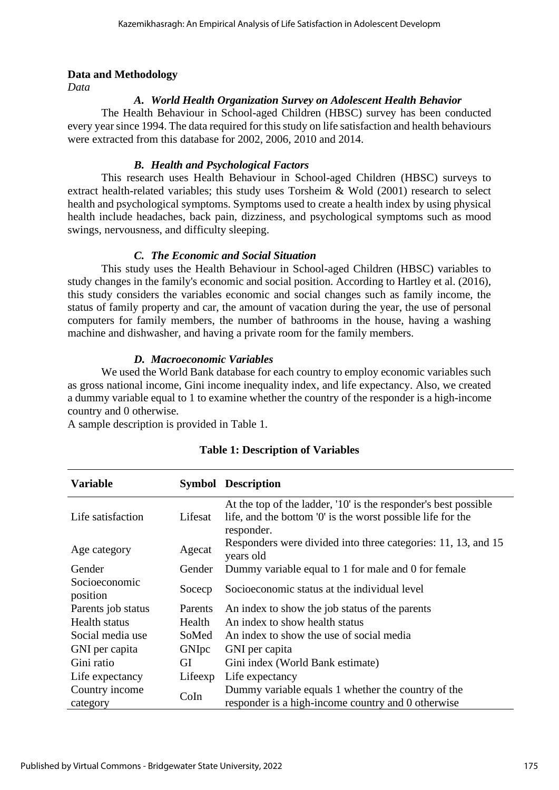### **Data and Methodology**

*Data*

# *A. World Health Organization Survey on Adolescent Health Behavior*

The Health Behaviour in School-aged Children (HBSC) survey has been conducted every year since 1994. The data required for this study on life satisfaction and health behaviours were extracted from this database for 2002, 2006, 2010 and 2014.

# *B. Health and Psychological Factors*

This research uses Health Behaviour in School-aged Children (HBSC) surveys to extract health-related variables; this study uses Torsheim & Wold (2001) research to select health and psychological symptoms. Symptoms used to create a health index by using physical health include headaches, back pain, dizziness, and psychological symptoms such as mood swings, nervousness, and difficulty sleeping.

# *C. The Economic and Social Situation*

This study uses the Health Behaviour in School-aged Children (HBSC) variables to study changes in the family's economic and social position. According to Hartley et al. (2016), this study considers the variables economic and social changes such as family income, the status of family property and car, the amount of vacation during the year, the use of personal computers for family members, the number of bathrooms in the house, having a washing machine and dishwasher, and having a private room for the family members.

# *D. Macroeconomic Variables*

We used the World Bank database for each country to employ economic variables such as gross national income, Gini income inequality index, and life expectancy. Also, we created a dummy variable equal to 1 to examine whether the country of the responder is a high-income country and 0 otherwise.

A sample description is provided in Table 1.

| <b>Variable</b>           |         | <b>Symbol Description</b>                                                                                                                    |
|---------------------------|---------|----------------------------------------------------------------------------------------------------------------------------------------------|
| Life satisfaction         | Lifesat | At the top of the ladder, '10' is the responder's best possible<br>life, and the bottom '0' is the worst possible life for the<br>responder. |
| Age category              | Agecat  | Responders were divided into three categories: 11, 13, and 15<br>years old                                                                   |
| Gender                    | Gender  | Dummy variable equal to 1 for male and 0 for female                                                                                          |
| Socioeconomic<br>position | Socecp  | Socioeconomic status at the individual level                                                                                                 |
| Parents job status        | Parents | An index to show the job status of the parents                                                                                               |
| <b>Health status</b>      | Health  | An index to show health status                                                                                                               |
| Social media use          | SoMed   | An index to show the use of social media                                                                                                     |
| GNI per capita            | GNIpc   | GNI per capita                                                                                                                               |
| Gini ratio                | GI      | Gini index (World Bank estimate)                                                                                                             |
| Life expectancy           | Lifeexp | Life expectancy                                                                                                                              |
| Country income            | CoIn    | Dummy variable equals 1 whether the country of the                                                                                           |
| category                  |         | responder is a high-income country and 0 otherwise                                                                                           |

### **Table 1: Description of Variables**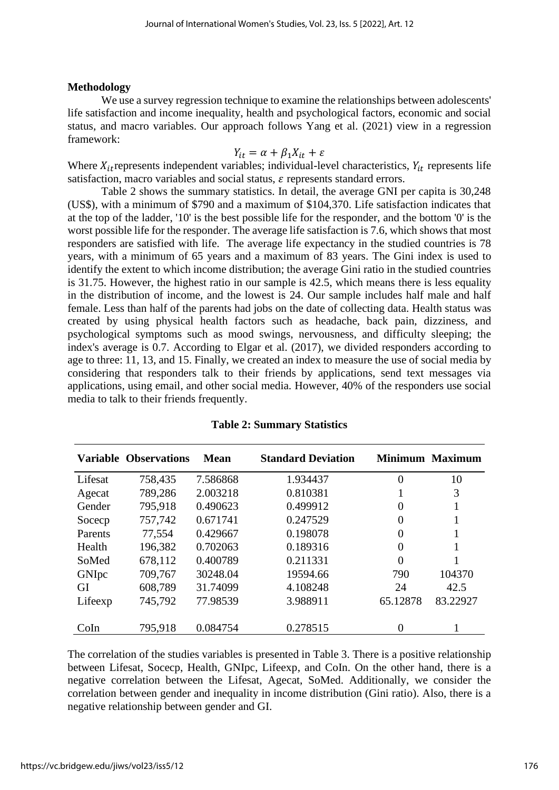### **Methodology**

We use a survey regression technique to examine the relationships between adolescents' life satisfaction and income inequality, health and psychological factors, economic and social status, and macro variables. Our approach follows Yang et al. (2021) view in a regression framework:

$$
Y_{it} = \alpha + \beta_1 X_{it} + \varepsilon
$$

Where  $X_{it}$  represents independent variables; individual-level characteristics,  $Y_{it}$  represents life satisfaction, macro variables and social status,  $\varepsilon$  represents standard errors.

Table 2 shows the summary statistics. In detail, the average GNI per capita is 30,248 (US\$), with a minimum of \$790 and a maximum of \$104,370. Life satisfaction indicates that at the top of the ladder, '10' is the best possible life for the responder, and the bottom '0' is the worst possible life for the responder. The average life satisfaction is 7.6, which shows that most responders are satisfied with life. The average life expectancy in the studied countries is 78 years, with a minimum of 65 years and a maximum of 83 years. The Gini index is used to identify the extent to which income distribution; the average Gini ratio in the studied countries is 31.75. However, the highest ratio in our sample is 42.5, which means there is less equality in the distribution of income, and the lowest is 24. Our sample includes half male and half female. Less than half of the parents had jobs on the date of collecting data. Health status was created by using physical health factors such as headache, back pain, dizziness, and psychological symptoms such as mood swings, nervousness, and difficulty sleeping; the index's average is 0.7. According to Elgar et al. (2017), we divided responders according to age to three: 11, 13, and 15. Finally, we created an index to measure the use of social media by considering that responders talk to their friends by applications, send text messages via applications, using email, and other social media. However, 40% of the responders use social media to talk to their friends frequently.

|         | <b>Variable Observations</b> | Mean     | <b>Standard Deviation</b> |          | Minimum Maximum |
|---------|------------------------------|----------|---------------------------|----------|-----------------|
| Lifesat | 758,435                      | 7.586868 | 1.934437                  | 0        | 10              |
| Agecat  | 789,286                      | 2.003218 | 0.810381                  |          | 3               |
| Gender  | 795,918                      | 0.490623 | 0.499912                  | 0        | 1               |
| Soceep  | 757,742                      | 0.671741 | 0.247529                  | 0        | 1               |
| Parents | 77,554                       | 0.429667 | 0.198078                  | 0        | 1               |
| Health  | 196,382                      | 0.702063 | 0.189316                  | 0        | 1               |
| SoMed   | 678,112                      | 0.400789 | 0.211331                  | 0        |                 |
| GNIpc   | 709,767                      | 30248.04 | 19594.66                  | 790      | 104370          |
| GI      | 608,789                      | 31.74099 | 4.108248                  | 24       | 42.5            |
| Lifeexp | 745,792                      | 77.98539 | 3.988911                  | 65.12878 | 83.22927        |
| CoIn    | 795,918                      | 0.084754 | 0.278515                  | 0        |                 |

**Table 2: Summary Statistics**

The correlation of the studies variables is presented in Table 3. There is a positive relationship between Lifesat, Socecp, Health, GNIpc, Lifeexp, and CoIn. On the other hand, there is a negative correlation between the Lifesat, Agecat, SoMed. Additionally, we consider the correlation between gender and inequality in income distribution (Gini ratio). Also, there is a negative relationship between gender and GI.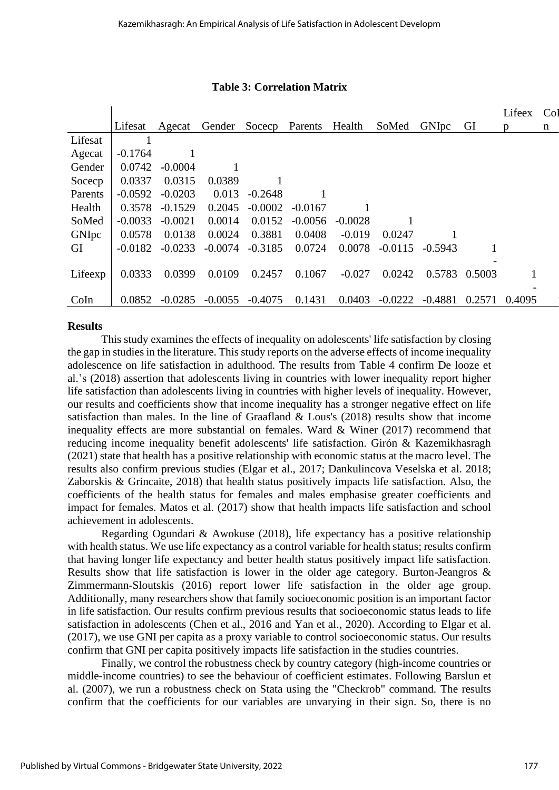#### **Table 3: Correlation Matrix**

|         |           |           |           |           |           |           |           |              |        | Lifeex | Co <sub>l</sub> |
|---------|-----------|-----------|-----------|-----------|-----------|-----------|-----------|--------------|--------|--------|-----------------|
|         | Lifesat   | Agecat    | Gender    | Socecp    | Parents   | Health    | SoMed     | <b>GNIpc</b> | GI     | p      | n               |
| Lifesat |           |           |           |           |           |           |           |              |        |        |                 |
| Agecat  | $-0.1764$ |           |           |           |           |           |           |              |        |        |                 |
| Gender  | 0.0742    | $-0.0004$ |           |           |           |           |           |              |        |        |                 |
| Soceep  | 0.0337    | 0.0315    | 0.0389    |           |           |           |           |              |        |        |                 |
| Parents | $-0.0592$ | $-0.0203$ | 0.013     | $-0.2648$ |           |           |           |              |        |        |                 |
| Health  | 0.3578    | $-0.1529$ | 0.2045    | $-0.0002$ | $-0.0167$ |           |           |              |        |        |                 |
| SoMed   | $-0.0033$ | $-0.0021$ | 0.0014    | 0.0152    | $-0.0056$ | $-0.0028$ |           |              |        |        |                 |
| GNIpc   | 0.0578    | 0.0138    | 0.0024    | 0.3881    | 0.0408    | $-0.019$  | 0.0247    |              |        |        |                 |
| GI      | $-0.0182$ | $-0.0233$ | $-0.0074$ | $-0.3185$ | 0.0724    | 0.0078    | $-0.0115$ | $-0.5943$    |        |        |                 |
|         |           |           |           |           |           |           |           |              |        |        |                 |
| Lifeexp | 0.0333    | 0.0399    | 0.0109    | 0.2457    | 0.1067    | $-0.027$  | 0.0242    | 0.5783       | 0.5003 |        |                 |
|         |           |           |           |           |           |           |           |              |        |        |                 |
| CoIn    | 0.0852    | $-0.0285$ | $-0.0055$ | $-0.4075$ | 0.1431    | 0.0403    | $-0.0222$ | $-0.4881$    | 0.2571 | 0.4095 |                 |

#### **Results**

This study examines the effects of inequality on adolescents' life satisfaction by closing the gap in studies in the literature. This study reports on the adverse effects of income inequality adolescence on life satisfaction in adulthood. The results from Table 4 confirm De looze et al.'s (2018) assertion that adolescents living in countries with lower inequality report higher life satisfaction than adolescents living in countries with higher levels of inequality. However, our results and coefficients show that income inequality has a stronger negative effect on life satisfaction than males. In the line of Graafland & Lous's (2018) results show that income inequality effects are more substantial on females. Ward & Winer (2017) recommend that reducing income inequality benefit adolescents' life satisfaction. Girón & Kazemikhasragh (2021) state that health has a positive relationship with economic status at the macro level. The results also confirm previous studies (Elgar et al., 2017; Dankulincova Veselska et al. 2018; Zaborskis & Grincaite, 2018) that health status positively impacts life satisfaction. Also, the coefficients of the health status for females and males emphasise greater coefficients and impact for females. Matos et al. (2017) show that health impacts life satisfaction and school achievement in adolescents.

Regarding Ogundari & Awokuse (2018), life expectancy has a positive relationship with health status. We use life expectancy as a control variable for health status; results confirm that having longer life expectancy and better health status positively impact life satisfaction. Results show that life satisfaction is lower in the older age category. Burton-Jeangros & Zimmermann-Sloutskis (2016) report lower life satisfaction in the older age group. Additionally, many researchers show that family socioeconomic position is an important factor in life satisfaction. Our results confirm previous results that socioeconomic status leads to life satisfaction in adolescents (Chen et al., 2016 and Yan et al., 2020). According to Elgar et al. (2017), we use GNI per capita as a proxy variable to control socioeconomic status. Our results confirm that GNI per capita positively impacts life satisfaction in the studies countries.

Finally, we control the robustness check by country category (high-income countries or middle-income countries) to see the behaviour of coefficient estimates. Following Barslun et al. (2007), we run a robustness check on Stata using the "Checkrob" command. The results confirm that the coefficients for our variables are unvarying in their sign. So, there is no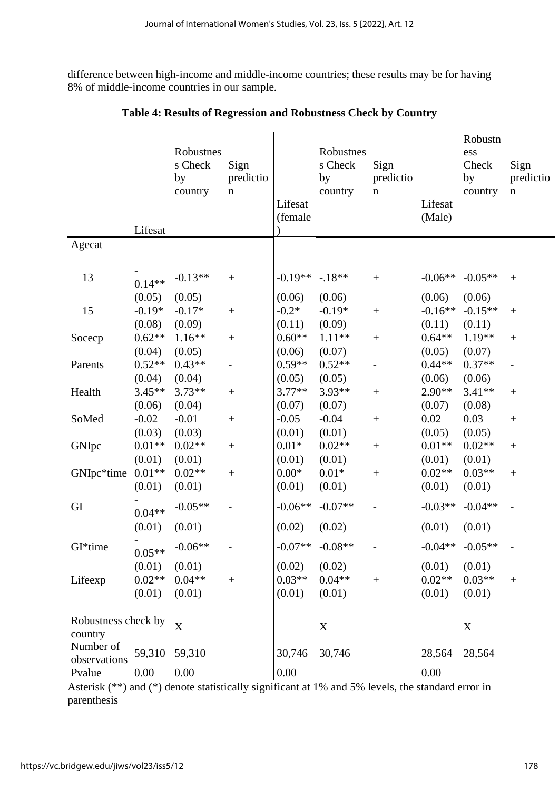difference between high-income and middle-income countries; these results may be for having 8% of middle-income countries in our sample.

|                           |          |                  |                  |           |             |                          |           | Robustn             |                          |
|---------------------------|----------|------------------|------------------|-----------|-------------|--------------------------|-----------|---------------------|--------------------------|
|                           |          | Robustnes        |                  |           | Robustnes   |                          |           | ess                 |                          |
|                           |          | s Check          | Sign             |           | s Check     | Sign                     |           | Check               | Sign                     |
|                           |          | by               | predictio        |           | by          | predictio                |           | by                  | predictio                |
|                           |          | country          | n                | Lifesat   | country     | $\mathbf n$              | Lifesat   | country             | $\mathbf n$              |
|                           |          |                  |                  | (female   |             |                          | (Male)    |                     |                          |
|                           | Lifesat  |                  |                  |           |             |                          |           |                     |                          |
| Agecat                    |          |                  |                  |           |             |                          |           |                     |                          |
|                           |          |                  |                  |           |             |                          |           |                     |                          |
| 13                        | $0.14**$ | $-0.13**$        | $\boldsymbol{+}$ | $-0.19**$ | $-18**$     | $+$                      | $-0.06**$ | $-0.05**$           | $+$                      |
|                           | (0.05)   | (0.05)           |                  | (0.06)    | (0.06)      |                          | (0.06)    | (0.06)              |                          |
| 15                        | $-0.19*$ | $-0.17*$         | $\! + \!$        | $-0.2*$   | $-0.19*$    | $\boldsymbol{+}$         | $-0.16**$ | $-0.15**$           | $^{+}$                   |
|                           | (0.08)   | (0.09)           |                  | (0.11)    | (0.09)      |                          | (0.11)    | (0.11)              |                          |
| Socecp                    | $0.62**$ | $1.16**$         | $^{+}$           | $0.60**$  | $1.11**$    | $\boldsymbol{+}$         | $0.64**$  | 1.19**              | $\boldsymbol{+}$         |
|                           | (0.04)   | (0.05)           |                  | (0.06)    | (0.07)      |                          | (0.05)    | (0.07)              |                          |
| Parents                   | $0.52**$ | $0.43**$         |                  | $0.59**$  | $0.52**$    | $\overline{\phantom{0}}$ | $0.44**$  | $0.37**$            | $\overline{\phantom{0}}$ |
|                           | (0.04)   | (0.04)           |                  | (0.05)    | (0.05)      |                          | (0.06)    | (0.06)              |                          |
| Health                    | $3.45**$ | $3.73**$         | $\! + \!$        | $3.77**$  | 3.93**      | $\boldsymbol{+}$         | $2.90**$  | $3.41**$            | $\boldsymbol{+}$         |
|                           | (0.06)   | (0.04)           |                  | (0.07)    | (0.07)      |                          | (0.07)    | (0.08)              |                          |
| SoMed                     | $-0.02$  | $-0.01$          | $\! + \!$        | $-0.05$   | $-0.04$     | $\boldsymbol{+}$         | 0.02      | 0.03                | $\boldsymbol{+}$         |
|                           | (0.03)   | (0.03)           |                  | (0.01)    | (0.01)      |                          | (0.05)    | (0.05)              |                          |
| GNIpc                     | $0.01**$ | $0.02**$         | $^{+}$           | $0.01*$   | $0.02**$    | $\boldsymbol{+}$         | $0.01**$  | $0.02**$            | $\boldsymbol{+}$         |
|                           | (0.01)   | (0.01)           |                  | (0.01)    | (0.01)      |                          | (0.01)    | (0.01)              |                          |
| GNIpc*time                | $0.01**$ | $0.02**$         | $^{+}$           | $0.00*$   | $0.01*$     | $\boldsymbol{+}$         | $0.02**$  | $0.03**$            | $\boldsymbol{+}$         |
|                           | (0.01)   | (0.01)           |                  | (0.01)    | (0.01)      |                          | (0.01)    | (0.01)              |                          |
| GI                        | $0.04**$ | $-0.05**$        |                  | $-0.06**$ | $-0.07**$   |                          | $-0.03**$ | $-0.04**$           |                          |
|                           | (0.01)   | (0.01)           |                  | (0.02)    | (0.02)      |                          | (0.01)    | (0.01)              |                          |
| GI*time                   |          | $0.05**$ -0.06** |                  | $-0.07**$ | $-0.08**$   |                          |           | $-0.04**$ $-0.05**$ |                          |
|                           | (0.01)   | (0.01)           |                  | (0.02)    | (0.02)      |                          | (0.01)    | (0.01)              |                          |
| Lifeexp                   | $0.02**$ | $0.04**$         | $\ddot{}$        | $0.03**$  | $0.04**$    | $\boldsymbol{+}$         | $0.02**$  | $0.03**$            | $\boldsymbol{+}$         |
|                           | (0.01)   | (0.01)           |                  | (0.01)    | (0.01)      |                          | (0.01)    | (0.01)              |                          |
| Robustness check by       |          |                  |                  |           |             |                          |           |                     |                          |
| country                   |          | X                |                  |           | $\mathbf X$ |                          |           | $\mathbf X$         |                          |
| Number of<br>observations | 59,310   | 59,310           |                  | 30,746    | 30,746      |                          | 28,564    | 28,564              |                          |
| Pvalue                    | 0.00     | 0.00             |                  | 0.00      |             |                          | 0.00      |                     |                          |

# **Table 4: Results of Regression and Robustness Check by Country**

Asterisk (\*\*) and (\*) denote statistically significant at 1% and 5% levels, the standard error in parenthesis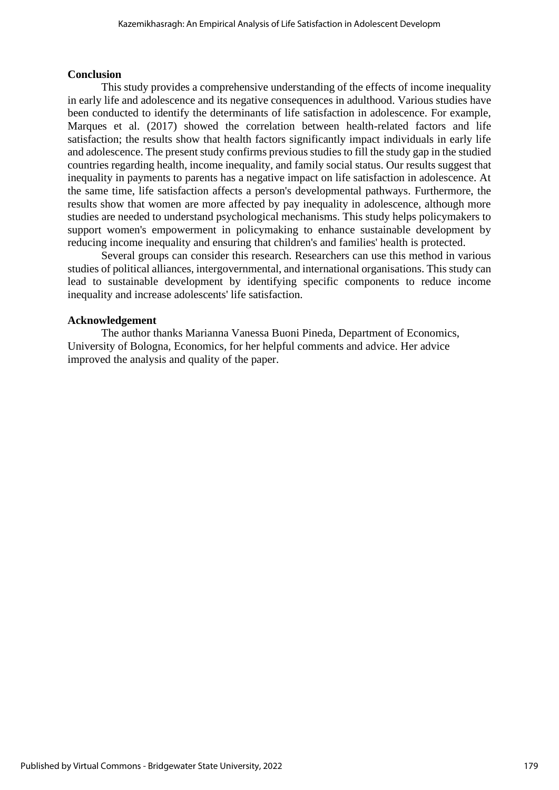#### **Conclusion**

This study provides a comprehensive understanding of the effects of income inequality in early life and adolescence and its negative consequences in adulthood. Various studies have been conducted to identify the determinants of life satisfaction in adolescence. For example, Marques et al. (2017) showed the correlation between health-related factors and life satisfaction; the results show that health factors significantly impact individuals in early life and adolescence. The present study confirms previous studies to fill the study gap in the studied countries regarding health, income inequality, and family social status. Our results suggest that inequality in payments to parents has a negative impact on life satisfaction in adolescence. At the same time, life satisfaction affects a person's developmental pathways. Furthermore, the results show that women are more affected by pay inequality in adolescence, although more studies are needed to understand psychological mechanisms. This study helps policymakers to support women's empowerment in policymaking to enhance sustainable development by reducing income inequality and ensuring that children's and families' health is protected.

Several groups can consider this research. Researchers can use this method in various studies of political alliances, intergovernmental, and international organisations. This study can lead to sustainable development by identifying specific components to reduce income inequality and increase adolescents' life satisfaction.

#### **Acknowledgement**

The author thanks Marianna Vanessa Buoni Pineda, Department of Economics, University of Bologna, Economics, for her helpful comments and advice. Her advice improved the analysis and quality of the paper.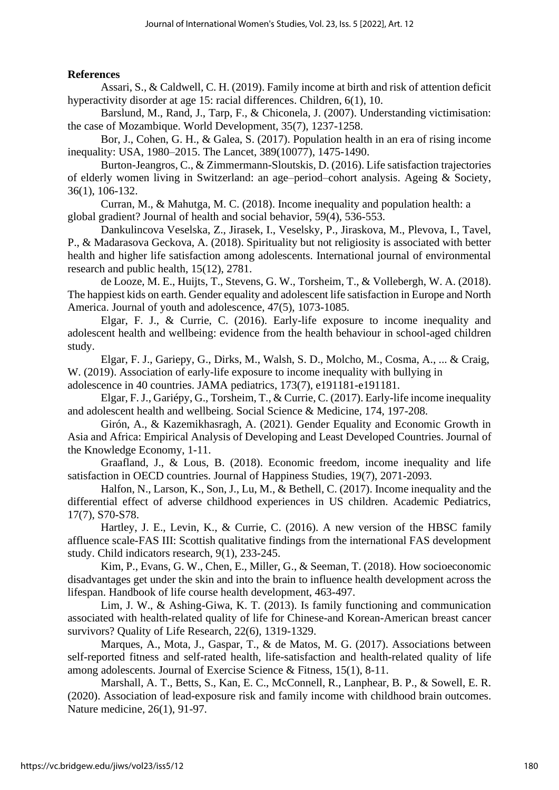# **References**

Assari, S., & Caldwell, C. H. (2019). Family income at birth and risk of attention deficit hyperactivity disorder at age 15: racial differences. Children, 6(1), 10.

Barslund, M., Rand, J., Tarp, F., & Chiconela, J. (2007). Understanding victimisation: the case of Mozambique. World Development, 35(7), 1237-1258.

Bor, J., Cohen, G. H., & Galea, S. (2017). Population health in an era of rising income inequality: USA, 1980–2015. The Lancet, 389(10077), 1475-1490.

Burton-Jeangros, C., & Zimmermann-Sloutskis, D. (2016). Life satisfaction trajectories of elderly women living in Switzerland: an age–period–cohort analysis. Ageing & Society, 36(1), 106-132.

Curran, M., & Mahutga, M. C. (2018). Income inequality and population health: a global gradient? Journal of health and social behavior, 59(4), 536-553.

Dankulincova Veselska, Z., Jirasek, I., Veselsky, P., Jiraskova, M., Plevova, I., Tavel, P., & Madarasova Geckova, A. (2018). Spirituality but not religiosity is associated with better health and higher life satisfaction among adolescents. International journal of environmental research and public health, 15(12), 2781.

de Looze, M. E., Huijts, T., Stevens, G. W., Torsheim, T., & Vollebergh, W. A. (2018). The happiest kids on earth. Gender equality and adolescent life satisfaction in Europe and North America. Journal of youth and adolescence, 47(5), 1073-1085.

Elgar, F. J., & Currie, C. (2016). Early-life exposure to income inequality and adolescent health and wellbeing: evidence from the health behaviour in school-aged children study.

Elgar, F. J., Gariepy, G., Dirks, M., Walsh, S. D., Molcho, M., Cosma, A., ... & Craig, W. (2019). Association of early-life exposure to income inequality with bullying in adolescence in 40 countries. JAMA pediatrics, 173(7), e191181-e191181.

Elgar, F. J., Gariépy, G., Torsheim, T., & Currie, C. (2017). Early-life income inequality and adolescent health and wellbeing. Social Science & Medicine, 174, 197-208.

Girón, A., & Kazemikhasragh, A. (2021). Gender Equality and Economic Growth in Asia and Africa: Empirical Analysis of Developing and Least Developed Countries. Journal of the Knowledge Economy, 1-11.

Graafland, J., & Lous, B. (2018). Economic freedom, income inequality and life satisfaction in OECD countries. Journal of Happiness Studies, 19(7), 2071-2093.

Halfon, N., Larson, K., Son, J., Lu, M., & Bethell, C. (2017). Income inequality and the differential effect of adverse childhood experiences in US children. Academic Pediatrics, 17(7), S70-S78.

Hartley, J. E., Levin, K., & Currie, C. (2016). A new version of the HBSC family affluence scale-FAS III: Scottish qualitative findings from the international FAS development study. Child indicators research, 9(1), 233-245.

Kim, P., Evans, G. W., Chen, E., Miller, G., & Seeman, T. (2018). How socioeconomic disadvantages get under the skin and into the brain to influence health development across the lifespan. Handbook of life course health development, 463-497.

Lim, J. W., & Ashing-Giwa, K. T. (2013). Is family functioning and communication associated with health-related quality of life for Chinese-and Korean-American breast cancer survivors? Quality of Life Research, 22(6), 1319-1329.

Marques, A., Mota, J., Gaspar, T., & de Matos, M. G. (2017). Associations between self-reported fitness and self-rated health, life-satisfaction and health-related quality of life among adolescents. Journal of Exercise Science & Fitness, 15(1), 8-11.

Marshall, A. T., Betts, S., Kan, E. C., McConnell, R., Lanphear, B. P., & Sowell, E. R. (2020). Association of lead-exposure risk and family income with childhood brain outcomes. Nature medicine, 26(1), 91-97.